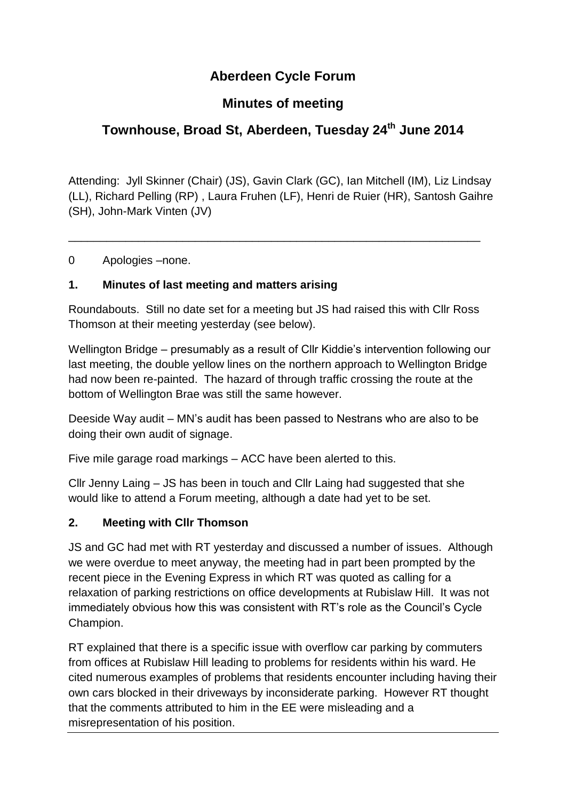## **Aberdeen Cycle Forum**

## **Minutes of meeting**

# **Townhouse, Broad St, Aberdeen, Tuesday 24 th June 2014**

Attending: Jyll Skinner (Chair) (JS), Gavin Clark (GC), Ian Mitchell (IM), Liz Lindsay (LL), Richard Pelling (RP) , Laura Fruhen (LF), Henri de Ruier (HR), Santosh Gaihre (SH), John-Mark Vinten (JV)

\_\_\_\_\_\_\_\_\_\_\_\_\_\_\_\_\_\_\_\_\_\_\_\_\_\_\_\_\_\_\_\_\_\_\_\_\_\_\_\_\_\_\_\_\_\_\_\_\_\_\_\_\_\_\_\_\_\_\_\_\_\_\_\_\_

0 Apologies –none.

### **1. Minutes of last meeting and matters arising**

Roundabouts. Still no date set for a meeting but JS had raised this with Cllr Ross Thomson at their meeting yesterday (see below).

Wellington Bridge – presumably as a result of Cllr Kiddie's intervention following our last meeting, the double yellow lines on the northern approach to Wellington Bridge had now been re-painted. The hazard of through traffic crossing the route at the bottom of Wellington Brae was still the same however.

Deeside Way audit – MN's audit has been passed to Nestrans who are also to be doing their own audit of signage.

Five mile garage road markings – ACC have been alerted to this.

Cllr Jenny Laing – JS has been in touch and Cllr Laing had suggested that she would like to attend a Forum meeting, although a date had yet to be set.

### **2. Meeting with Cllr Thomson**

JS and GC had met with RT yesterday and discussed a number of issues. Although we were overdue to meet anyway, the meeting had in part been prompted by the recent piece in the Evening Express in which RT was quoted as calling for a relaxation of parking restrictions on office developments at Rubislaw Hill. It was not immediately obvious how this was consistent with RT's role as the Council's Cycle Champion.

RT explained that there is a specific issue with overflow car parking by commuters from offices at Rubislaw Hill leading to problems for residents within his ward. He cited numerous examples of problems that residents encounter including having their own cars blocked in their driveways by inconsiderate parking. However RT thought that the comments attributed to him in the EE were misleading and a misrepresentation of his position.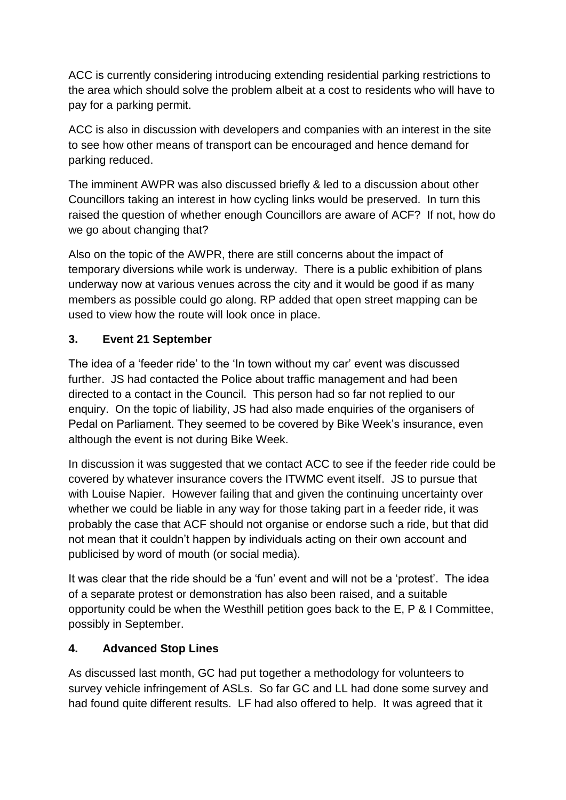ACC is currently considering introducing extending residential parking restrictions to the area which should solve the problem albeit at a cost to residents who will have to pay for a parking permit.

ACC is also in discussion with developers and companies with an interest in the site to see how other means of transport can be encouraged and hence demand for parking reduced.

The imminent AWPR was also discussed briefly & led to a discussion about other Councillors taking an interest in how cycling links would be preserved. In turn this raised the question of whether enough Councillors are aware of ACF? If not, how do we go about changing that?

Also on the topic of the AWPR, there are still concerns about the impact of temporary diversions while work is underway. There is a public exhibition of plans underway now at various venues across the city and it would be good if as many members as possible could go along. RP added that open street mapping can be used to view how the route will look once in place.

### **3. Event 21 September**

The idea of a 'feeder ride' to the 'In town without my car' event was discussed further. JS had contacted the Police about traffic management and had been directed to a contact in the Council. This person had so far not replied to our enquiry. On the topic of liability, JS had also made enquiries of the organisers of Pedal on Parliament. They seemed to be covered by Bike Week's insurance, even although the event is not during Bike Week.

In discussion it was suggested that we contact ACC to see if the feeder ride could be covered by whatever insurance covers the ITWMC event itself. JS to pursue that with Louise Napier. However failing that and given the continuing uncertainty over whether we could be liable in any way for those taking part in a feeder ride, it was probably the case that ACF should not organise or endorse such a ride, but that did not mean that it couldn't happen by individuals acting on their own account and publicised by word of mouth (or social media).

It was clear that the ride should be a 'fun' event and will not be a 'protest'. The idea of a separate protest or demonstration has also been raised, and a suitable opportunity could be when the Westhill petition goes back to the E, P & I Committee, possibly in September.

### **4. Advanced Stop Lines**

As discussed last month, GC had put together a methodology for volunteers to survey vehicle infringement of ASLs. So far GC and LL had done some survey and had found quite different results. LF had also offered to help. It was agreed that it